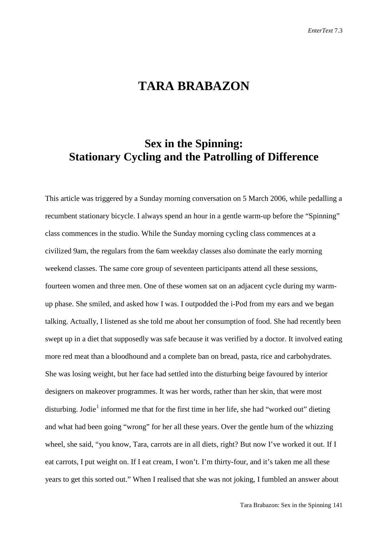# **TARA BRABAZON**

## **Sex in the Spinning: Stationary Cycling and the Patrolling of Difference**

This article was triggered by a Sunday morning conversation on 5 March 2006, while pedalling a recumbent stationary bicycle. I always spend an hour in a gentle warm-up before the "Spinning" class commences in the studio. While the Sunday morning cycling class commences at a civilized 9am, the regulars from the 6am weekday classes also dominate the early morning weekend classes. The same core group of seventeen participants attend all these sessions, fourteen women and three men. One of these women sat on an adjacent cycle during my warmup phase. She smiled, and asked how I was. I outpodded the i-Pod from my ears and we began talking. Actually, I listened as she told me about her consumption of food. She had recently been swept up in a diet that supposedly was safe because it was verified by a doctor. It involved eating more red meat than a bloodhound and a complete ban on bread, pasta, rice and carbohydrates. She was losing weight, but her face had settled into the disturbing beige favoured by interior designers on makeover programmes. It was her words, rather than her skin, that were most disturbing. Jodie<sup>[1](#page-20-0)</sup> informed me that for the first time in her life, she had "worked out" dieting and what had been going "wrong" for her all these years. Over the gentle hum of the whizzing wheel, she said, "you know, Tara, carrots are in all diets, right? But now I've worked it out. If I eat carrots, I put weight on. If I eat cream, I won't. I'm thirty-four, and it's taken me all these years to get this sorted out." When I realised that she was not joking, I fumbled an answer about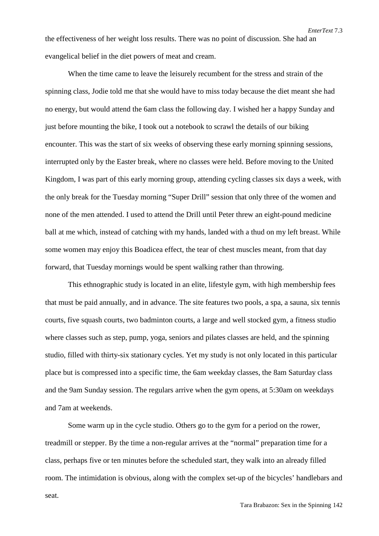the effectiveness of her weight loss results. There was no point of discussion. She had an evangelical belief in the diet powers of meat and cream.

When the time came to leave the leisurely recumbent for the stress and strain of the spinning class, Jodie told me that she would have to miss today because the diet meant she had no energy, but would attend the 6am class the following day. I wished her a happy Sunday and just before mounting the bike, I took out a notebook to scrawl the details of our biking encounter. This was the start of six weeks of observing these early morning spinning sessions, interrupted only by the Easter break, where no classes were held. Before moving to the United Kingdom, I was part of this early morning group, attending cycling classes six days a week, with the only break for the Tuesday morning "Super Drill" session that only three of the women and none of the men attended. I used to attend the Drill until Peter threw an eight-pound medicine ball at me which, instead of catching with my hands, landed with a thud on my left breast. While some women may enjoy this Boadicea effect, the tear of chest muscles meant, from that day forward, that Tuesday mornings would be spent walking rather than throwing.

This ethnographic study is located in an elite, lifestyle gym, with high membership fees that must be paid annually, and in advance. The site features two pools, a spa, a sauna, six tennis courts, five squash courts, two badminton courts, a large and well stocked gym, a fitness studio where classes such as step, pump, yoga, seniors and pilates classes are held, and the spinning studio, filled with thirty-six stationary cycles. Yet my study is not only located in this particular place but is compressed into a specific time, the 6am weekday classes, the 8am Saturday class and the 9am Sunday session. The regulars arrive when the gym opens, at 5:30am on weekdays and 7am at weekends.

Some warm up in the cycle studio. Others go to the gym for a period on the rower, treadmill or stepper. By the time a non-regular arrives at the "normal" preparation time for a class, perhaps five or ten minutes before the scheduled start, they walk into an already filled room. The intimidation is obvious, along with the complex set-up of the bicycles' handlebars and

seat.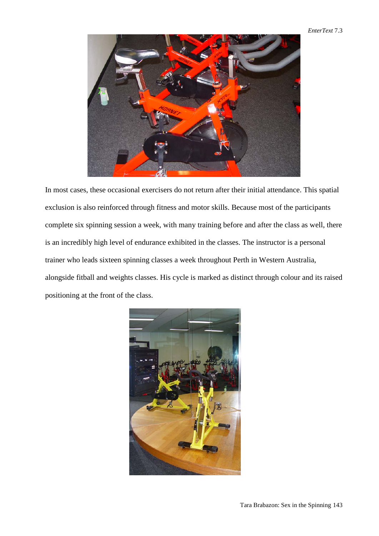#### *EnterText* 7.3



In most cases, these occasional exercisers do not return after their initial attendance. This spatial exclusion is also reinforced through fitness and motor skills. Because most of the participants complete six spinning session a week, with many training before and after the class as well, there is an incredibly high level of endurance exhibited in the classes. The instructor is a personal trainer who leads sixteen spinning classes a week throughout Perth in Western Australia, alongside fitball and weights classes. His cycle is marked as distinct through colour and its raised positioning at the front of the class.

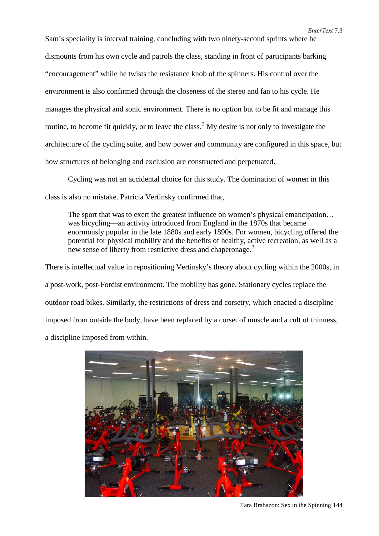Sam's speciality is interval training, concluding with two ninety-second sprints where he dismounts from his own cycle and patrols the class, standing in front of participants barking "encouragement" while he twists the resistance knob of the spinners. His control over the environment is also confirmed through the closeness of the stereo and fan to his cycle. He manages the physical and sonic environment. There is no option but to be fit and manage this routine, to become fit quickly, or to leave the class.<sup>[2](#page-21-0)</sup> My desire is not only to investigate the architecture of the cycling suite, and how power and community are configured in this space, but how structures of belonging and exclusion are constructed and perpetuated.

Cycling was not an accidental choice for this study. The domination of women in this class is also no mistake. Patricia Vertinsky confirmed that,

The sport that was to exert the greatest influence on women's physical emancipation… was bicycling—an activity introduced from England in the 1870s that became enormously popular in the late 1880s and early 1890s. For women, bicycling offered the potential for physical mobility and the benefits of healthy, active recreation, as well as a new sense of liberty from restrictive dress and chaperonage.<sup>[3](#page-21-1)</sup>

There is intellectual value in repositioning Vertinsky's theory about cycling within the 2000s, in a post-work, post-Fordist environment. The mobility has gone. Stationary cycles replace the outdoor road bikes. Similarly, the restrictions of dress and corsetry, which enacted a discipline imposed from outside the body, have been replaced by a corset of muscle and a cult of thinness, a discipline imposed from within.



Tara Brabazon: Sex in the Spinning 144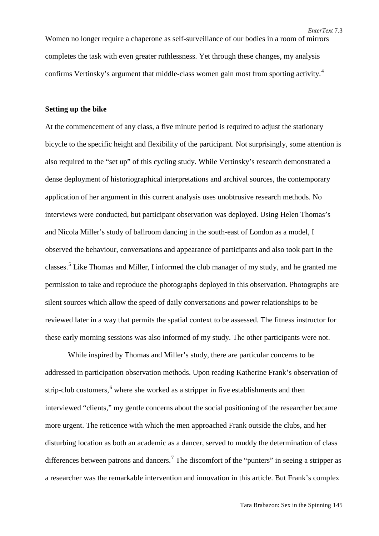Women no longer require a chaperone as self-surveillance of our bodies in a room of mirrors completes the task with even greater ruthlessness. Yet through these changes, my analysis confirms Vertinsky's argument that middle-class women gain most from sporting activity.<sup>[4](#page-21-2)</sup>

#### **Setting up the bike**

At the commencement of any class, a five minute period is required to adjust the stationary bicycle to the specific height and flexibility of the participant. Not surprisingly, some attention is also required to the "set up" of this cycling study. While Vertinsky's research demonstrated a dense deployment of historiographical interpretations and archival sources, the contemporary application of her argument in this current analysis uses unobtrusive research methods. No interviews were conducted, but participant observation was deployed. Using Helen Thomas's and Nicola Miller's study of ballroom dancing in the south-east of London as a model, I observed the behaviour, conversations and appearance of participants and also took part in the classes.<sup>[5](#page-21-3)</sup> Like Thomas and Miller, I informed the club manager of my study, and he granted me permission to take and reproduce the photographs deployed in this observation. Photographs are silent sources which allow the speed of daily conversations and power relationships to be reviewed later in a way that permits the spatial context to be assessed. The fitness instructor for these early morning sessions was also informed of my study. The other participants were not.

While inspired by Thomas and Miller's study, there are particular concerns to be addressed in participation observation methods. Upon reading Katherine Frank's observation of strip-club customers,<sup>[6](#page-21-4)</sup> where she worked as a stripper in five establishments and then interviewed "clients," my gentle concerns about the social positioning of the researcher became more urgent. The reticence with which the men approached Frank outside the clubs, and her disturbing location as both an academic as a dancer, served to muddy the determination of class differences between patrons and dancers.<sup>[7](#page-21-5)</sup> The discomfort of the "punters" in seeing a stripper as a researcher was the remarkable intervention and innovation in this article. But Frank's complex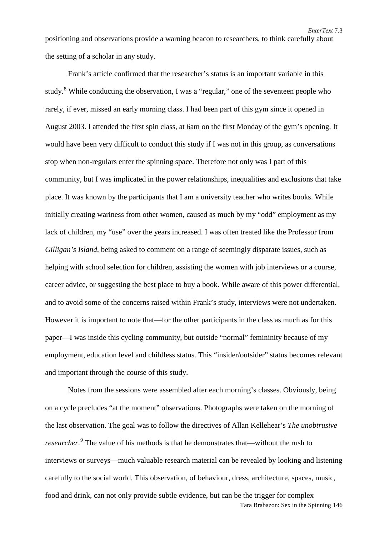positioning and observations provide a warning beacon to researchers, to think carefully about the setting of a scholar in any study.

*EnterText* 7.3

Frank's article confirmed that the researcher's status is an important variable in this study.<sup>[8](#page-21-6)</sup> While conducting the observation, I was a "regular," one of the seventeen people who rarely, if ever, missed an early morning class. I had been part of this gym since it opened in August 2003. I attended the first spin class, at 6am on the first Monday of the gym's opening. It would have been very difficult to conduct this study if I was not in this group, as conversations stop when non-regulars enter the spinning space. Therefore not only was I part of this community, but I was implicated in the power relationships, inequalities and exclusions that take place. It was known by the participants that I am a university teacher who writes books. While initially creating wariness from other women, caused as much by my "odd" employment as my lack of children, my "use" over the years increased. I was often treated like the Professor from *Gilligan's Island*, being asked to comment on a range of seemingly disparate issues, such as helping with school selection for children, assisting the women with job interviews or a course, career advice, or suggesting the best place to buy a book. While aware of this power differential, and to avoid some of the concerns raised within Frank's study, interviews were not undertaken. However it is important to note that—for the other participants in the class as much as for this paper—I was inside this cycling community, but outside "normal" femininity because of my employment, education level and childless status. This "insider/outsider" status becomes relevant and important through the course of this study.

Tara Brabazon: Sex in the Spinning 146 Notes from the sessions were assembled after each morning's classes. Obviously, being on a cycle precludes "at the moment" observations. Photographs were taken on the morning of the last observation. The goal was to follow the directives of Allan Kellehear's *The unobtrusive researcher.*<sup>[9](#page-21-7)</sup> The value of his methods is that he demonstrates that—without the rush to interviews or surveys—much valuable research material can be revealed by looking and listening carefully to the social world. This observation, of behaviour, dress, architecture, spaces, music, food and drink, can not only provide subtle evidence, but can be the trigger for complex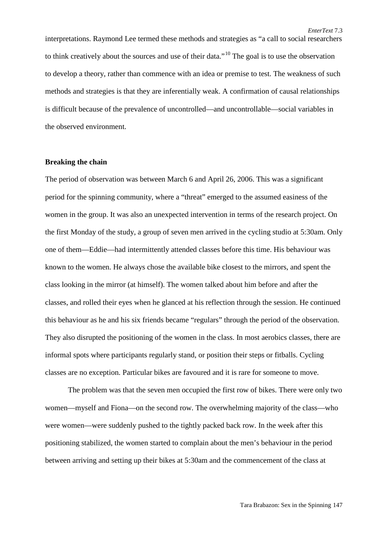interpretations. Raymond Lee termed these methods and strategies as "a call to social researchers to think creatively about the sources and use of their data."[10](#page-21-8) The goal is to use the observation to develop a theory, rather than commence with an idea or premise to test. The weakness of such methods and strategies is that they are inferentially weak. A confirmation of causal relationships is difficult because of the prevalence of uncontrolled—and uncontrollable—social variables in the observed environment.

#### **Breaking the chain**

The period of observation was between March 6 and April 26, 2006. This was a significant period for the spinning community, where a "threat" emerged to the assumed easiness of the women in the group. It was also an unexpected intervention in terms of the research project. On the first Monday of the study, a group of seven men arrived in the cycling studio at 5:30am. Only one of them—Eddie—had intermittently attended classes before this time. His behaviour was known to the women. He always chose the available bike closest to the mirrors, and spent the class looking in the mirror (at himself). The women talked about him before and after the classes, and rolled their eyes when he glanced at his reflection through the session. He continued this behaviour as he and his six friends became "regulars" through the period of the observation. They also disrupted the positioning of the women in the class. In most aerobics classes, there are informal spots where participants regularly stand, or position their steps or fitballs. Cycling classes are no exception. Particular bikes are favoured and it is rare for someone to move.

The problem was that the seven men occupied the first row of bikes. There were only two women—myself and Fiona—on the second row. The overwhelming majority of the class—who were women—were suddenly pushed to the tightly packed back row. In the week after this positioning stabilized, the women started to complain about the men's behaviour in the period between arriving and setting up their bikes at 5:30am and the commencement of the class at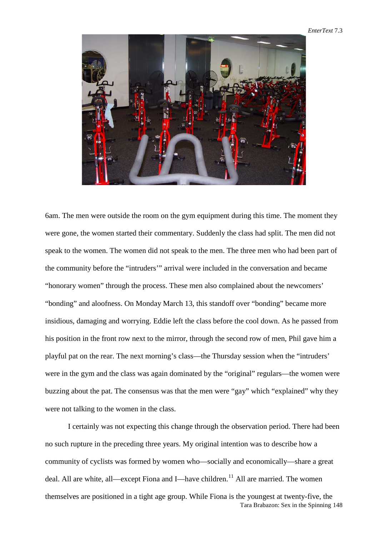#### *EnterText* 7.3



6am. The men were outside the room on the gym equipment during this time. The moment they were gone, the women started their commentary. Suddenly the class had split. The men did not speak to the women. The women did not speak to the men. The three men who had been part of the community before the "intruders'" arrival were included in the conversation and became "honorary women" through the process. These men also complained about the newcomers' "bonding" and aloofness. On Monday March 13, this standoff over "bonding" became more insidious, damaging and worrying. Eddie left the class before the cool down. As he passed from his position in the front row next to the mirror, through the second row of men, Phil gave him a playful pat on the rear. The next morning's class—the Thursday session when the "intruders' were in the gym and the class was again dominated by the "original" regulars—the women were buzzing about the pat. The consensus was that the men were "gay" which "explained" why they were not talking to the women in the class.

Tara Brabazon: Sex in the Spinning 148 I certainly was not expecting this change through the observation period. There had been no such rupture in the preceding three years. My original intention was to describe how a community of cyclists was formed by women who—socially and economically—share a great deal. All are white, all—except Fiona and I—have children.<sup>[11](#page-21-9)</sup> All are married. The women themselves are positioned in a tight age group. While Fiona is the youngest at twenty-five, the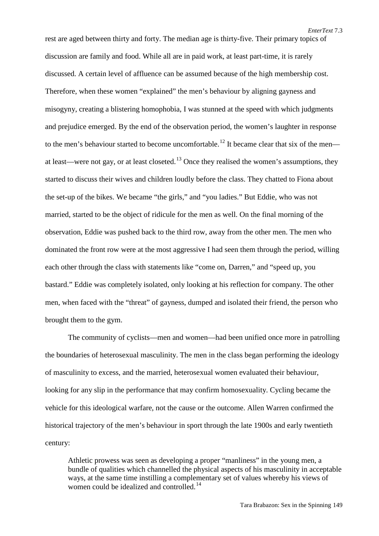rest are aged between thirty and forty. The median age is thirty-five. Their primary topics of discussion are family and food. While all are in paid work, at least part-time, it is rarely discussed. A certain level of affluence can be assumed because of the high membership cost. Therefore, when these women "explained" the men's behaviour by aligning gayness and misogyny, creating a blistering homophobia, I was stunned at the speed with which judgments and prejudice emerged. By the end of the observation period, the women's laughter in response to the men's behaviour started to become uncomfortable.<sup>[12](#page-21-10)</sup> It became clear that six of the men— at least—were not gay, or at least closeted.<sup>[13](#page-21-11)</sup> Once they realised the women's assumptions, they started to discuss their wives and children loudly before the class. They chatted to Fiona about the set-up of the bikes. We became "the girls," and "you ladies." But Eddie, who was not married, started to be the object of ridicule for the men as well. On the final morning of the observation, Eddie was pushed back to the third row, away from the other men. The men who dominated the front row were at the most aggressive I had seen them through the period, willing each other through the class with statements like "come on, Darren," and "speed up, you bastard." Eddie was completely isolated, only looking at his reflection for company. The other men, when faced with the "threat" of gayness, dumped and isolated their friend, the person who brought them to the gym.

The community of cyclists—men and women—had been unified once more in patrolling the boundaries of heterosexual masculinity. The men in the class began performing the ideology of masculinity to excess, and the married, heterosexual women evaluated their behaviour, looking for any slip in the performance that may confirm homosexuality. Cycling became the vehicle for this ideological warfare, not the cause or the outcome. Allen Warren confirmed the historical trajectory of the men's behaviour in sport through the late 1900s and early twentieth century:

Athletic prowess was seen as developing a proper "manliness" in the young men, a bundle of qualities which channelled the physical aspects of his masculinity in acceptable ways, at the same time instilling a complementary set of values whereby his views of women could be idealized and controlled.<sup>[14](#page-21-12)</sup>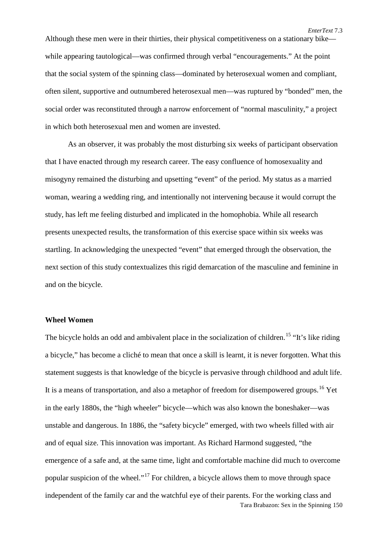Although these men were in their thirties, their physical competitiveness on a stationary bike while appearing tautological—was confirmed through verbal "encouragements." At the point that the social system of the spinning class—dominated by heterosexual women and compliant, often silent, supportive and outnumbered heterosexual men—was ruptured by "bonded" men, the social order was reconstituted through a narrow enforcement of "normal masculinity," a project in which both heterosexual men and women are invested.

As an observer, it was probably the most disturbing six weeks of participant observation that I have enacted through my research career. The easy confluence of homosexuality and misogyny remained the disturbing and upsetting "event" of the period. My status as a married woman, wearing a wedding ring, and intentionally not intervening because it would corrupt the study, has left me feeling disturbed and implicated in the homophobia. While all research presents unexpected results, the transformation of this exercise space within six weeks was startling. In acknowledging the unexpected "event" that emerged through the observation, the next section of this study contextualizes this rigid demarcation of the masculine and feminine in and on the bicycle.

#### **Wheel Women**

Tara Brabazon: Sex in the Spinning 150 The bicycle holds an odd and ambivalent place in the socialization of children.<sup>[15](#page-21-13)</sup> "It's like riding a bicycle," has become a cliché to mean that once a skill is learnt, it is never forgotten. What this statement suggests is that knowledge of the bicycle is pervasive through childhood and adult life. It is a means of transportation, and also a metaphor of freedom for disempowered groups.<sup>[16](#page-21-14)</sup> Yet in the early 1880s, the "high wheeler" bicycle—which was also known the boneshaker—was unstable and dangerous. In 1886, the "safety bicycle" emerged, with two wheels filled with air and of equal size. This innovation was important. As Richard Harmond suggested, "the emergence of a safe and, at the same time, light and comfortable machine did much to overcome popular suspicion of the wheel."<sup>[17](#page-21-15)</sup> For children, a bicycle allows them to move through space independent of the family car and the watchful eye of their parents. For the working class and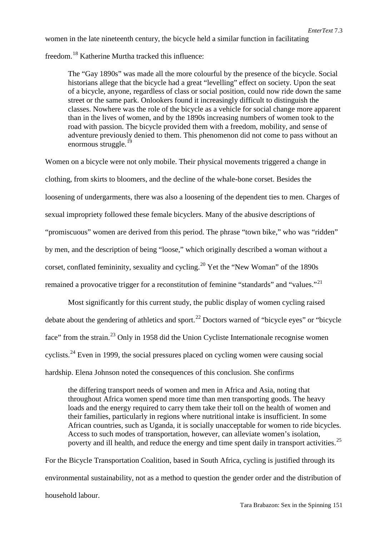women in the late nineteenth century, the bicycle held a similar function in facilitating

freedom.[18](#page-21-16) Katherine Murtha tracked this influence:

The "Gay 1890s" was made all the more colourful by the presence of the bicycle. Social historians allege that the bicycle had a great "levelling" effect on society. Upon the seat of a bicycle, anyone, regardless of class or social position, could now ride down the same street or the same park. Onlookers found it increasingly difficult to distinguish the classes. Nowhere was the role of the bicycle as a vehicle for social change more apparent than in the lives of women, and by the 1890s increasing numbers of women took to the road with passion. The bicycle provided them with a freedom, mobility, and sense of adventure previously denied to them. This phenomenon did not come to pass without an enormous struggle. $19$ 

Women on a bicycle were not only mobile. Their physical movements triggered a change in clothing, from skirts to bloomers, and the decline of the whale-bone corset. Besides the loosening of undergarments, there was also a loosening of the dependent ties to men. Charges of sexual impropriety followed these female bicyclers. Many of the abusive descriptions of "promiscuous" women are derived from this period. The phrase "town bike," who was "ridden" by men, and the description of being "loose," which originally described a woman without a corset, conflated femininity, sexuality and cycling.<sup>[20](#page-21-18)</sup> Yet the "New Woman" of the 1890s remained a provocative trigger for a reconstitution of feminine "standards" and "values."<sup>[21](#page-21-19)</sup>

Most significantly for this current study, the public display of women cycling raised debate about the gendering of athletics and sport.<sup>[22](#page-21-20)</sup> Doctors warned of "bicycle eyes" or "bicycle face" from the strain.<sup>[23](#page-21-21)</sup> Only in 1958 did the Union Cycliste Internationale recognise women cyclists.<sup>[24](#page-21-1)</sup> Even in 1999, the social pressures placed on cycling women were causing social hardship. Elena Johnson noted the consequences of this conclusion. She confirms

the differing transport needs of women and men in Africa and Asia, noting that throughout Africa women spend more time than men transporting goods. The heavy loads and the energy required to carry them take their toll on the health of women and their families, particularly in regions where nutritional intake is insufficient. In some African countries, such as Uganda, it is socially unacceptable for women to ride bicycles. Access to such modes of transportation, however, can alleviate women's isolation, poverty and ill health, and reduce the energy and time spent daily in transport activities.<sup>25</sup>

For the Bicycle Transportation Coalition, based in South Africa, cycling is justified through its environmental sustainability, not as a method to question the gender order and the distribution of household labour.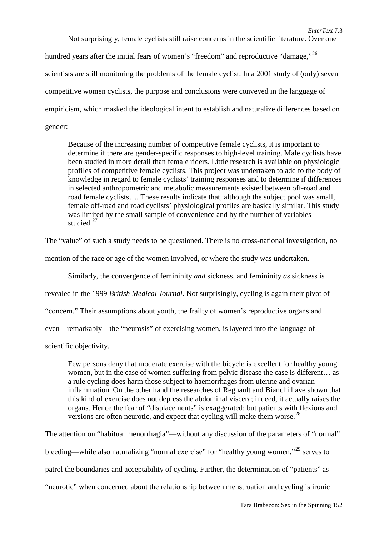Not surprisingly, female cyclists still raise concerns in the scientific literature. Over one hundred years after the initial fears of women's "freedom" and reproductive "damage,"<sup>[26](#page-21-2)</sup> scientists are still monitoring the problems of the female cyclist. In a 2001 study of (only) seven competitive women cyclists, the purpose and conclusions were conveyed in the language of empiricism, which masked the ideological intent to establish and naturalize differences based on gender:

Because of the increasing number of competitive female cyclists, it is important to determine if there are gender-specific responses to high-level training. Male cyclists have been studied in more detail than female riders. Little research is available on physiologic profiles of competitive female cyclists. This project was undertaken to add to the body of knowledge in regard to female cyclists' training responses and to determine if differences in selected anthropometric and metabolic measurements existed between off-road and road female cyclists…. These results indicate that, although the subject pool was small, female off-road and road cyclists' physiological profiles are basically similar. This study was limited by the small sample of convenience and by the number of variables studied. $27$ 

The "value" of such a study needs to be questioned. There is no cross-national investigation, no

mention of the race or age of the women involved, or where the study was undertaken.

Similarly, the convergence of femininity *and* sickness, and femininity *as* sickness is

revealed in the 1999 *British Medical Journal*. Not surprisingly, cycling is again their pivot of

"concern." Their assumptions about youth, the frailty of women's reproductive organs and

even—remarkably—the "neurosis" of exercising women, is layered into the language of

scientific objectivity.

Few persons deny that moderate exercise with the bicycle is excellent for healthy young women, but in the case of women suffering from pelvic disease the case is different… as a rule cycling does harm those subject to haemorrhages from uterine and ovarian inflammation. On the other hand the researches of Regnault and Bianchi have shown that this kind of exercise does not depress the abdominal viscera; indeed, it actually raises the organs. Hence the fear of "displacements" is exaggerated; but patients with flexions and versions are often neurotic, and expect that cycling will make them worse.<sup>[28](#page-21-23)</sup>

The attention on "habitual menorrhagia"—without any discussion of the parameters of "normal" bleeding—while also naturalizing "normal exercise" for "healthy young women,"<sup>[29](#page-21-24)</sup> serves to patrol the boundaries and acceptability of cycling. Further, the determination of "patients" as "neurotic" when concerned about the relationship between menstruation and cycling is ironic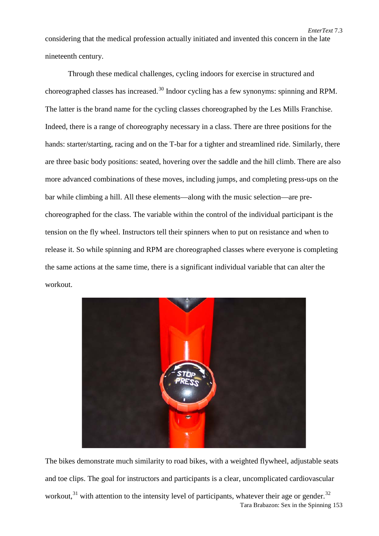considering that the medical profession actually initiated and invented this concern in the late nineteenth century.

*EnterText* 7.3

Through these medical challenges, cycling indoors for exercise in structured and choreographed classes has increased.<sup>[30](#page-21-25)</sup> Indoor cycling has a few synonyms: spinning and RPM. The latter is the brand name for the cycling classes choreographed by the Les Mills Franchise. Indeed, there is a range of choreography necessary in a class. There are three positions for the hands: starter/starting, racing and on the T-bar for a tighter and streamlined ride. Similarly, there are three basic body positions: seated, hovering over the saddle and the hill climb. There are also more advanced combinations of these moves, including jumps, and completing press-ups on the bar while climbing a hill. All these elements—along with the music selection—are prechoreographed for the class. The variable within the control of the individual participant is the tension on the fly wheel. Instructors tell their spinners when to put on resistance and when to release it. So while spinning and RPM are choreographed classes where everyone is completing the same actions at the same time, there is a significant individual variable that can alter the workout.



Tara Brabazon: Sex in the Spinning 153 The bikes demonstrate much similarity to road bikes, with a weighted flywheel, adjustable seats and toe clips. The goal for instructors and participants is a clear, uncomplicated cardiovascular workout, $31$  with attention to the intensity level of participants, whatever their age or gender.  $32$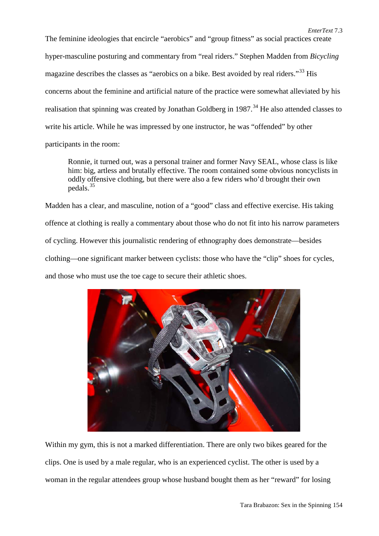The feminine ideologies that encircle "aerobics" and "group fitness" as social practices create hyper-masculine posturing and commentary from "real riders." Stephen Madden from *Bicycling* magazine describes the classes as "aerobics on a bike. Best avoided by real riders."<sup>[33](#page-21-28)</sup> His concerns about the feminine and artificial nature of the practice were somewhat alleviated by his realisation that spinning was created by Jonathan Goldberg in 1987.<sup>[34](#page-21-29)</sup> He also attended classes to write his article. While he was impressed by one instructor, he was "offended" by other participants in the room:

Ronnie, it turned out, was a personal trainer and former Navy SEAL, whose class is like him: big, artless and brutally effective. The room contained some obvious noncyclists in oddly offensive clothing, but there were also a few riders who'd brought their own pedals.[35](#page-21-30)

Madden has a clear, and masculine, notion of a "good" class and effective exercise. His taking offence at clothing is really a commentary about those who do not fit into his narrow parameters of cycling. However this journalistic rendering of ethnography does demonstrate—besides clothing—one significant marker between cyclists: those who have the "clip" shoes for cycles, and those who must use the toe cage to secure their athletic shoes.



Within my gym, this is not a marked differentiation. There are only two bikes geared for the clips. One is used by a male regular, who is an experienced cyclist. The other is used by a woman in the regular attendees group whose husband bought them as her "reward" for losing

*EnterText* 7.3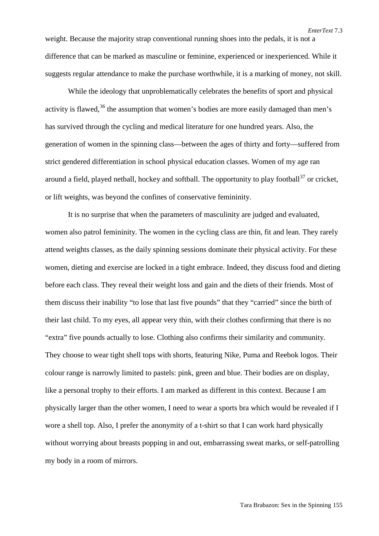weight. Because the majority strap conventional running shoes into the pedals, it is not a difference that can be marked as masculine or feminine, experienced or inexperienced. While it suggests regular attendance to make the purchase worthwhile, it is a marking of money, not skill.

While the ideology that unproblematically celebrates the benefits of sport and physical activity is flawed,  $36$  the assumption that women's bodies are more easily damaged than men's has survived through the cycling and medical literature for one hundred years. Also, the generation of women in the spinning class—between the ages of thirty and forty—suffered from strict gendered differentiation in school physical education classes. Women of my age ran around a field, played netball, hockey and softball. The opportunity to play football<sup>[37](#page-21-32)</sup> or cricket, or lift weights, was beyond the confines of conservative femininity.

It is no surprise that when the parameters of masculinity are judged and evaluated, women also patrol femininity. The women in the cycling class are thin, fit and lean. They rarely attend weights classes, as the daily spinning sessions dominate their physical activity. For these women, dieting and exercise are locked in a tight embrace. Indeed, they discuss food and dieting before each class. They reveal their weight loss and gain and the diets of their friends. Most of them discuss their inability "to lose that last five pounds" that they "carried" since the birth of their last child. To my eyes, all appear very thin, with their clothes confirming that there is no "extra" five pounds actually to lose. Clothing also confirms their similarity and community. They choose to wear tight shell tops with shorts, featuring Nike, Puma and Reebok logos. Their colour range is narrowly limited to pastels: pink, green and blue. Their bodies are on display, like a personal trophy to their efforts. I am marked as different in this context. Because I am physically larger than the other women, I need to wear a sports bra which would be revealed if I wore a shell top. Also, I prefer the anonymity of a t-shirt so that I can work hard physically without worrying about breasts popping in and out, embarrassing sweat marks, or self-patrolling my body in a room of mirrors.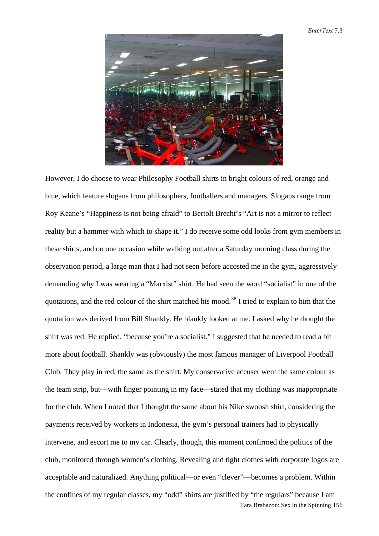

Tara Brabazon: Sex in the Spinning 156 However, I do choose to wear Philosophy Football shirts in bright colours of red, orange and blue, which feature slogans from philosophers, footballers and managers. Slogans range from Roy Keane's "Happiness is not being afraid" to Bertolt Brecht's "Art is not a mirror to reflect reality but a hammer with which to shape it." I do receive some odd looks from gym members in these shirts, and on one occasion while walking out after a Saturday morning class during the observation period, a large man that I had not seen before accosted me in the gym, aggressively demanding why I was wearing a "Marxist" shirt. He had seen the word "socialist" in one of the quotations, and the red colour of the shirt matched his mood.<sup>[38](#page-21-33)</sup> I tried to explain to him that the quotation was derived from Bill Shankly. He blankly looked at me. I asked why he thought the shirt was red. He replied, "because you're a socialist." I suggested that he needed to read a bit more about football. Shankly was (obviously) the most famous manager of Liverpool Football Club. They play in red, the same as the shirt. My conservative accuser went the same colour as the team strip, but—with finger pointing in my face—stated that my clothing was inappropriate for the club. When I noted that I thought the same about his Nike swoosh shirt, considering the payments received by workers in Indonesia, the gym's personal trainers had to physically intervene, and escort me to my car. Clearly, though, this moment confirmed the politics of the club, monitored through women's clothing. Revealing and tight clothes with corporate logos are acceptable and naturalized. Anything political—or even "clever"—becomes a problem. Within the confines of my regular classes, my "odd" shirts are justified by "the regulars" because I am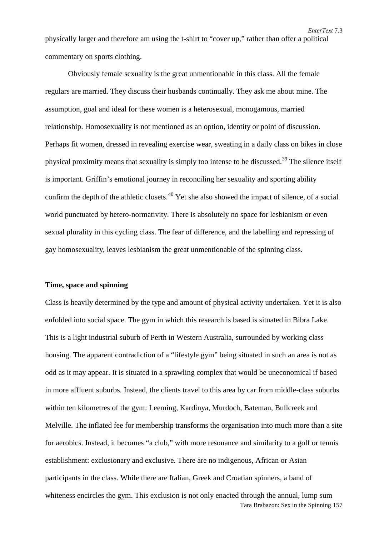physically larger and therefore am using the t-shirt to "cover up," rather than offer a political commentary on sports clothing.

*EnterText* 7.3

Obviously female sexuality is the great unmentionable in this class. All the female regulars are married. They discuss their husbands continually. They ask me about mine. The assumption, goal and ideal for these women is a heterosexual, monogamous, married relationship. Homosexuality is not mentioned as an option, identity or point of discussion. Perhaps fit women, dressed in revealing exercise wear, sweating in a daily class on bikes in close physical proximity means that sexuality is simply too intense to be discussed.[39](#page-21-34) The silence itself is important. Griffin's emotional journey in reconciling her sexuality and sporting ability confirm the depth of the athletic closets.<sup>[40](#page-21-35)</sup> Yet she also showed the impact of silence, of a social world punctuated by hetero-normativity. There is absolutely no space for lesbianism or even sexual plurality in this cycling class. The fear of difference, and the labelling and repressing of gay homosexuality, leaves lesbianism the great unmentionable of the spinning class.

### **Time, space and spinning**

Tara Brabazon: Sex in the Spinning 157 Class is heavily determined by the type and amount of physical activity undertaken. Yet it is also enfolded into social space. The gym in which this research is based is situated in Bibra Lake. This is a light industrial suburb of Perth in Western Australia, surrounded by working class housing. The apparent contradiction of a "lifestyle gym" being situated in such an area is not as odd as it may appear. It is situated in a sprawling complex that would be uneconomical if based in more affluent suburbs. Instead, the clients travel to this area by car from middle-class suburbs within ten kilometres of the gym: Leeming, Kardinya, Murdoch, Bateman, Bullcreek and Melville. The inflated fee for membership transforms the organisation into much more than a site for aerobics. Instead, it becomes "a club," with more resonance and similarity to a golf or tennis establishment: exclusionary and exclusive. There are no indigenous, African or Asian participants in the class. While there are Italian, Greek and Croatian spinners, a band of whiteness encircles the gym. This exclusion is not only enacted through the annual, lump sum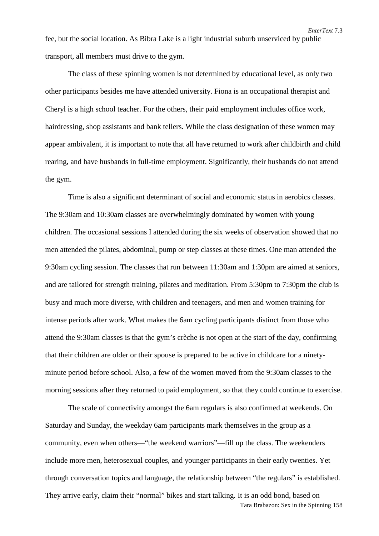fee, but the social location. As Bibra Lake is a light industrial suburb unserviced by public transport, all members must drive to the gym.

The class of these spinning women is not determined by educational level, as only two other participants besides me have attended university. Fiona is an occupational therapist and Cheryl is a high school teacher. For the others, their paid employment includes office work, hairdressing, shop assistants and bank tellers. While the class designation of these women may appear ambivalent, it is important to note that all have returned to work after childbirth and child rearing, and have husbands in full-time employment. Significantly, their husbands do not attend the gym.

Time is also a significant determinant of social and economic status in aerobics classes. The 9:30am and 10:30am classes are overwhelmingly dominated by women with young children. The occasional sessions I attended during the six weeks of observation showed that no men attended the pilates, abdominal, pump or step classes at these times. One man attended the 9:30am cycling session. The classes that run between 11:30am and 1:30pm are aimed at seniors, and are tailored for strength training, pilates and meditation. From 5:30pm to 7:30pm the club is busy and much more diverse, with children and teenagers, and men and women training for intense periods after work. What makes the 6am cycling participants distinct from those who attend the 9:30am classes is that the gym's crèche is not open at the start of the day, confirming that their children are older or their spouse is prepared to be active in childcare for a ninetyminute period before school. Also, a few of the women moved from the 9:30am classes to the morning sessions after they returned to paid employment, so that they could continue to exercise.

Tara Brabazon: Sex in the Spinning 158 The scale of connectivity amongst the 6am regulars is also confirmed at weekends. On Saturday and Sunday, the weekday 6am participants mark themselves in the group as a community, even when others—"the weekend warriors"—fill up the class. The weekenders include more men, heterosexual couples, and younger participants in their early twenties. Yet through conversation topics and language, the relationship between "the regulars" is established. They arrive early, claim their "normal" bikes and start talking. It is an odd bond, based on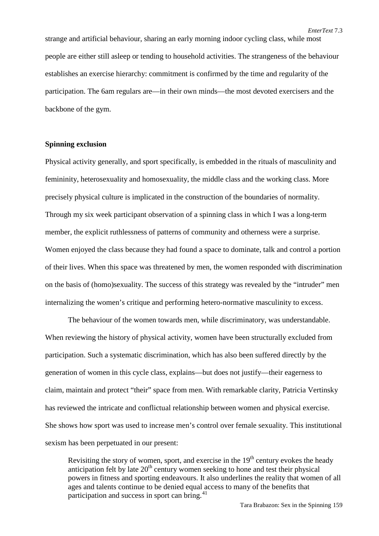strange and artificial behaviour, sharing an early morning indoor cycling class, while most people are either still asleep or tending to household activities. The strangeness of the behaviour establishes an exercise hierarchy: commitment is confirmed by the time and regularity of the participation. The 6am regulars are—in their own minds—the most devoted exercisers and the backbone of the gym.

### **Spinning exclusion**

Physical activity generally, and sport specifically, is embedded in the rituals of masculinity and femininity, heterosexuality and homosexuality, the middle class and the working class. More precisely physical culture is implicated in the construction of the boundaries of normality. Through my six week participant observation of a spinning class in which I was a long-term member, the explicit ruthlessness of patterns of community and otherness were a surprise. Women enjoyed the class because they had found a space to dominate, talk and control a portion of their lives. When this space was threatened by men, the women responded with discrimination on the basis of (homo)sexuality. The success of this strategy was revealed by the "intruder" men internalizing the women's critique and performing hetero-normative masculinity to excess.

The behaviour of the women towards men, while discriminatory, was understandable. When reviewing the history of physical activity, women have been structurally excluded from participation. Such a systematic discrimination, which has also been suffered directly by the generation of women in this cycle class, explains—but does not justify—their eagerness to claim, maintain and protect "their" space from men. With remarkable clarity, Patricia Vertinsky has reviewed the intricate and conflictual relationship between women and physical exercise. She shows how sport was used to increase men's control over female sexuality. This institutional sexism has been perpetuated in our present:

Revisiting the story of women, sport, and exercise in the  $19<sup>th</sup>$  century evokes the heady anticipation felt by late  $20<sup>th</sup>$  century women seeking to hone and test their physical powers in fitness and sporting endeavours. It also underlines the reality that women of all ages and talents continue to be denied equal access to many of the benefits that participation and success in sport can bring.<sup>[41](#page-21-36)</sup>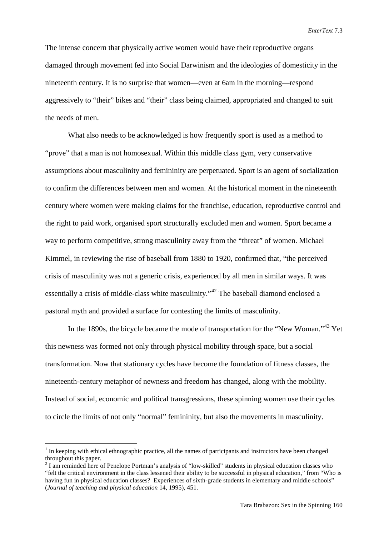The intense concern that physically active women would have their reproductive organs damaged through movement fed into Social Darwinism and the ideologies of domesticity in the nineteenth century. It is no surprise that women—even at 6am in the morning—respond aggressively to "their" bikes and "their" class being claimed, appropriated and changed to suit the needs of men.

What also needs to be acknowledged is how frequently sport is used as a method to "prove" that a man is not homosexual. Within this middle class gym, very conservative assumptions about masculinity and femininity are perpetuated. Sport is an agent of socialization to confirm the differences between men and women. At the historical moment in the nineteenth century where women were making claims for the franchise, education, reproductive control and the right to paid work, organised sport structurally excluded men and women. Sport became a way to perform competitive, strong masculinity away from the "threat" of women. Michael Kimmel, in reviewing the rise of baseball from 1880 to 1920, confirmed that, "the perceived crisis of masculinity was not a generic crisis, experienced by all men in similar ways. It was essentially a crisis of middle-class white masculinity."[42](#page-21-15) The baseball diamond enclosed a pastoral myth and provided a surface for contesting the limits of masculinity.

In the 1890s, the bicycle became the mode of transportation for the "New Woman."<sup>[43](#page-21-37)</sup> Yet this newness was formed not only through physical mobility through space, but a social transformation. Now that stationary cycles have become the foundation of fitness classes, the nineteenth-century metaphor of newness and freedom has changed, along with the mobility. Instead of social, economic and political transgressions, these spinning women use their cycles to circle the limits of not only "normal" femininity, but also the movements in masculinity.

 $<sup>1</sup>$  In keeping with ethical ethnographic practice, all the names of participants and instructors have been changed</sup> throughout this paper.

<sup>&</sup>lt;sup>2</sup> I am reminded here of Penelope Portman's analysis of "low-skilled" students in physical education classes who "felt the critical environment in the class lessened their ability to be successful in physical education," from "Who is having fun in physical education classes? Experiences of sixth-grade students in elementary and middle schools" (*Journal of teaching and physical education* 14, 1995), 451.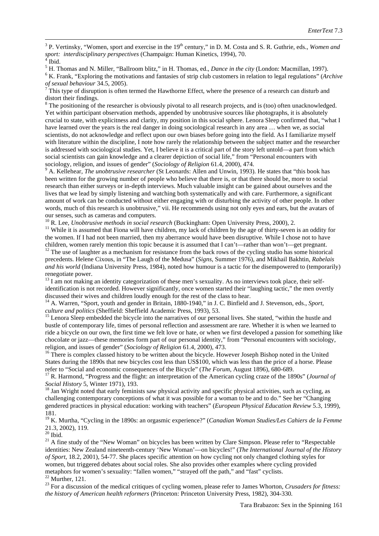<sup>3</sup> P. Vertinsky, "Women, sport and exercise in the  $19<sup>th</sup>$  century," in D. M. Costa and S. R. Guthrie, eds., *Women and sport: interdisciplinary perspectives* (Champaign: Human Kinetics, 1994), 70.

<sup>4</sup> Ibid.<br><sup>5</sup> H. Thomas and N. Miller, "Ballroom blitz," in H. Thomas, ed., *Dance in the city* (London: Macmillan, 1997).<br><sup>6</sup> K. Frank, "Exploring the motivations and fantasies of strip club customers in relation to lega

This type of disruption is often termed the Hawthorne Effect, where the presence of a research can disturb and distort their findings.

<sup>8</sup> The positioning of the researcher is obviously pivotal to all research projects, and is (too) often unacknowledged. Yet within participant observation methods, appended by unobtrusive sources like photographs, it is absolutely crucial to state, with explicitness and clarity, my position in this social sphere. Lenora Sleep confirmed that, "what I have learned over the years is the real danger in doing sociological research in any area … when we, as social scientists, do not acknowledge and reflect upon our own biases before going into the field. As I familiarize myself with literature within the discipline, I note how rarely the relationship between the subject matter and the researcher is addressed with sociological studies. Yet, I believe it is a critical part of the story left untold—a part from which social scientists can gain knowledge and a clearer depiction of social life," from "Personal encounters with sociology, religion, and issues of gender" (Sociology of Religion 61.4, 2000), 474.

<sup>9</sup> A. Kellehear, *The unobtrusive researcher* (St Leonards: Allen and Unwin, 1993). He states that "this book has been written for the growing number of people who believe that there is, or that there should be, more to social research than either surveys or in-depth interviews. Much valuable insight can be gained about ourselves and the lives that we lead by simply listening and watching both systematically and with care. Furthermore, a significant amount of work can be conducted without either engaging with or disturbing the activity of other people. In other words, much of this research is unobtrusive," vii. He recommends using not only eyes and ears, but the avatars of our senses, such as cameras and computers.

<sup>10</sup> R. Lee, *Unobtrusive methods in social research* (Buckingham: Open University Press, 2000), 2.<br><sup>11</sup> While it is assumed that Fiona will have children, my lack of children by the age of thirty-seven is an oddity for the women. If I had not been married, then my aberrance would have been disruptive. While I chose not to have children, women rarely mention this topic because it is assumed that I can't—rather than won't—get pregnant. <sup>12</sup> The use of laughter as a mechanism for resistance from the back rows of the cycling studio has some historic

precedents. Helene Cixous, in "The Laugh of the Medusa" (*Signs*, Summer 1976), and Mikhail Bakhtin, *Rabelais and his world* (Indiana University Press, 1984), noted how humour is a tactic for the disempowered to (temporarily) renegotiate power.

 $13$  I am not making an identity categorization of these men's sexuality. As no interviews took place, their selfidentification is not recorded. However significantly, once women started their "laughing tactic," the men overtly discussed their wives and children loudly enough for the rest of the class to hear.

<sup>14</sup> A. Warren, "Sport, youth and gender in Britain, 1880-1940," in J. C. Binfield and J. Stevenson, eds., *Sport, culture and politics* (Sheffield: Sheffield Academic Press, 1993), 53.

<sup>15</sup> Lenora Sleep embedded the bicycle into the narratives of our personal lives. She stated, "within the hustle and bustle of contemporary life, times of personal reflection and assessment are rare. Whether it is when we learned to ride a bicycle on our own, the first time we felt love or hate, or when we first developed a passion for something like chocolate or jazz—these memories form part of our personal identity," from "Personal encounters with sociology, religion, and issues of gender" (Sociology of Religion 61.4, 2000), 473.

<sup>16</sup> There is complex classed history to be written about the bicycle. However Joseph Bishop noted in the United States during the 1890s that new bicycles cost less than US\$100, which was less than the price of a horse. Please refer to "Social and economic consequences of the Bicycle" (*The Forum*, August 1896), 680-689.

<sup>17</sup> R. Harmond, "Progress and the flight: an interpretation of the American cycling craze of the 1890s" (*Journal of Social History* 5, Winter 1971), 193.<br><sup>18</sup> Jan Wright noted that early feminists saw physical activity and specific physical activities, such as cycling, as

challenging contemporary conceptions of what it was possible for a woman to be and to do." See her "Changing gendered practices in physical education: working with teachers" (*European Physical Education Review* 5.3, 1999),

181. <sup>19</sup> K. Murtha, "Cycling in the 1890s: an orgasmic experience?" (*Canadian Woman Studies/Les Cahiers de la Femme*

<span id="page-20-0"></span> $21$  A fine study of the "New Woman" on bicycles has been written by Clare Simpson. Please refer to "Respectable" identities: New Zealand nineteenth-century 'New Woman'—on bicycles!" (*The International Journal of the History of Sport*, 18.2, 2001), 54-77. She places specific attention on how cycling not only changed clothing styles for women, but triggered debates about social roles. She also provides other examples where cycling provided metaphors for women's sexuality: "fallen women," "strayed off the path," and "fast" cyclists.

<sup>22</sup> Murther, 121.<br><sup>23</sup> For a discussion of the medical critiques of cycling women, please refer to James Whorton, *Crusaders for fitness*: *the history of American health reformers* (Princeton: Princeton University Press, 1982), 304-330*.*